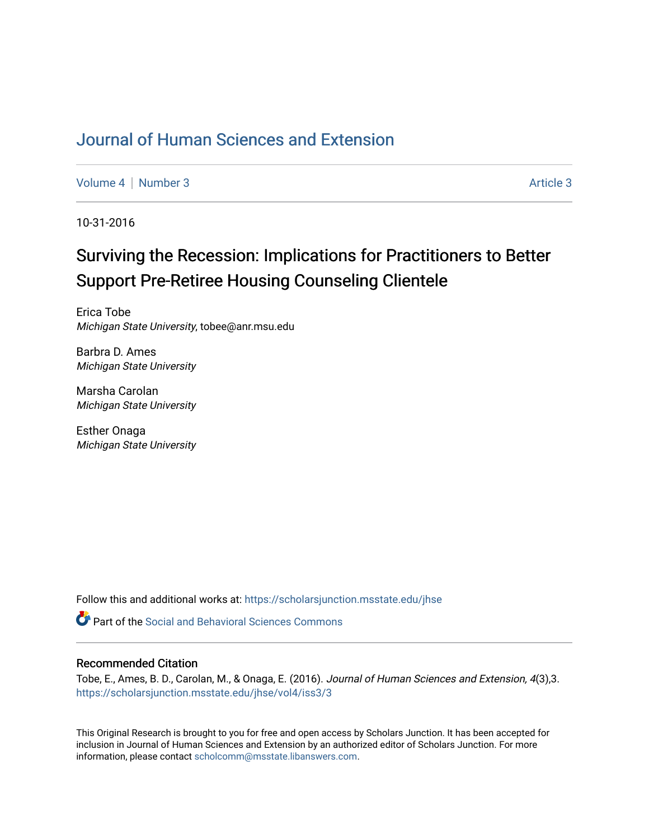## [Journal of Human Sciences and Extension](https://scholarsjunction.msstate.edu/jhse)

[Volume 4](https://scholarsjunction.msstate.edu/jhse/vol4) | [Number 3](https://scholarsjunction.msstate.edu/jhse/vol4/iss3) Article 3

10-31-2016

# Surviving the Recession: Implications for Practitioners to Better Support Pre-Retiree Housing Counseling Clientele

Erica Tobe Michigan State University, tobee@anr.msu.edu

Barbra D. Ames Michigan State University

Marsha Carolan Michigan State University

Esther Onaga Michigan State University

Follow this and additional works at: [https://scholarsjunction.msstate.edu/jhse](https://scholarsjunction.msstate.edu/jhse?utm_source=scholarsjunction.msstate.edu%2Fjhse%2Fvol4%2Fiss3%2F3&utm_medium=PDF&utm_campaign=PDFCoverPages)

**C** Part of the Social and Behavioral Sciences Commons

#### Recommended Citation

Tobe, E., Ames, B. D., Carolan, M., & Onaga, E. (2016). Journal of Human Sciences and Extension, 4(3),3. [https://scholarsjunction.msstate.edu/jhse/vol4/iss3/3](https://scholarsjunction.msstate.edu/jhse/vol4/iss3/3?utm_source=scholarsjunction.msstate.edu%2Fjhse%2Fvol4%2Fiss3%2F3&utm_medium=PDF&utm_campaign=PDFCoverPages)

This Original Research is brought to you for free and open access by Scholars Junction. It has been accepted for inclusion in Journal of Human Sciences and Extension by an authorized editor of Scholars Junction. For more information, please contact [scholcomm@msstate.libanswers.com](mailto:scholcomm@msstate.libanswers.com).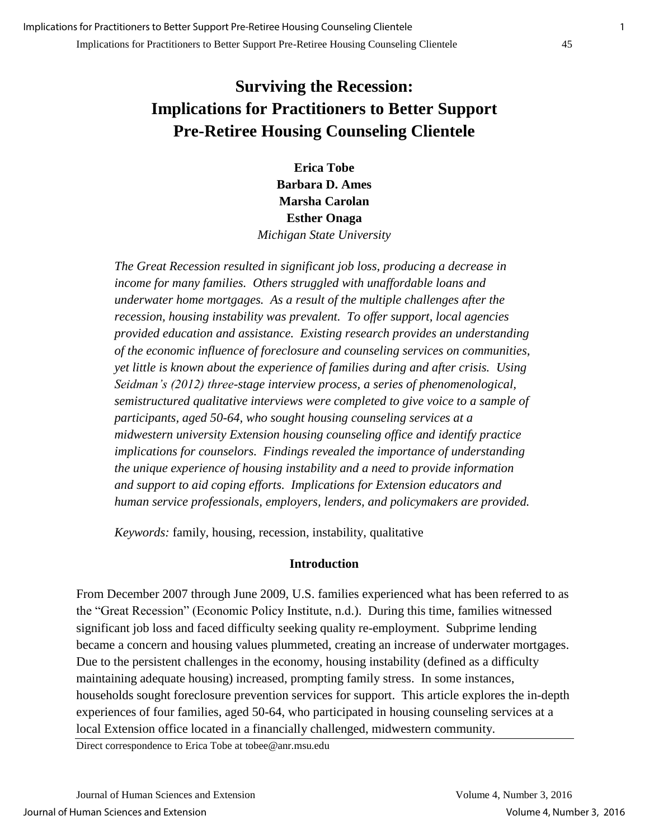## **Surviving the Recession: Implications for Practitioners to Better Support Pre-Retiree Housing Counseling Clientele**

**Erica Tobe Barbara D. Ames Marsha Carolan Esther Onaga**  *Michigan State University* 

*The Great Recession resulted in significant job loss, producing a decrease in income for many families. Others struggled with unaffordable loans and underwater home mortgages. As a result of the multiple challenges after the recession, housing instability was prevalent. To offer support, local agencies provided education and assistance. Existing research provides an understanding of the economic influence of foreclosure and counseling services on communities, yet little is known about the experience of families during and after crisis. Using Seidman's (2012) three-stage interview process, a series of phenomenological, semistructured qualitative interviews were completed to give voice to a sample of participants, aged 50-64, who sought housing counseling services at a midwestern university Extension housing counseling office and identify practice implications for counselors. Findings revealed the importance of understanding the unique experience of housing instability and a need to provide information and support to aid coping efforts. Implications for Extension educators and human service professionals, employers, lenders, and policymakers are provided.* 

*Keywords:* family, housing, recession, instability, qualitative

## **Introduction**

From December 2007 through June 2009, U.S. families experienced what has been referred to as the "Great Recession" (Economic Policy Institute, n.d.). During this time, families witnessed significant job loss and faced difficulty seeking quality re-employment. Subprime lending became a concern and housing values plummeted, creating an increase of underwater mortgages. Due to the persistent challenges in the economy, housing instability (defined as a difficulty maintaining adequate housing) increased, prompting family stress. In some instances, households sought foreclosure prevention services for support. This article explores the in-depth experiences of four families, aged 50-64, who participated in housing counseling services at a local Extension office located in a financially challenged, midwestern community.

Direct correspondence to Erica Tobe at tobee@anr.msu.edu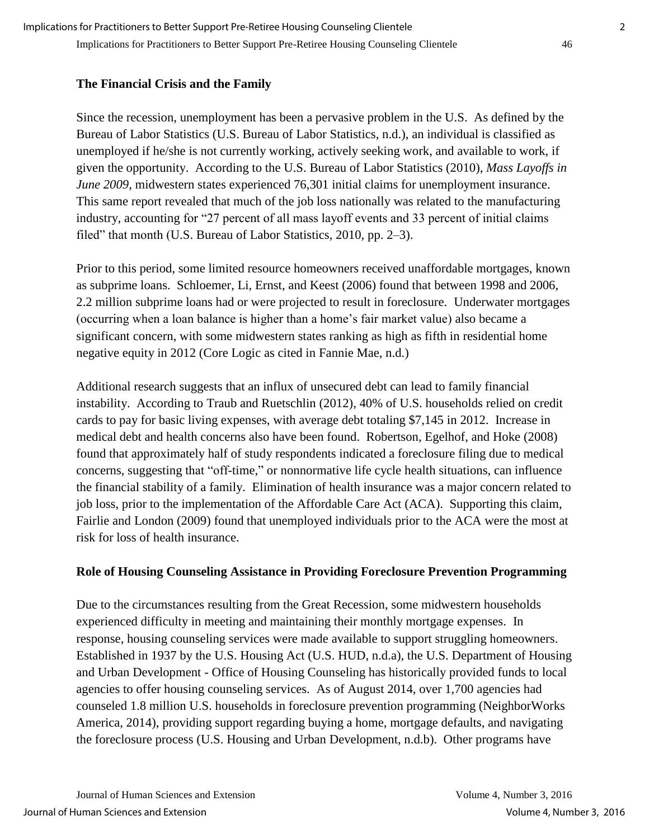## **The Financial Crisis and the Family**

Since the recession, unemployment has been a pervasive problem in the U.S. As defined by the Bureau of Labor Statistics (U.S. Bureau of Labor Statistics, n.d.), an individual is classified as unemployed if he/she is not currently working, actively seeking work, and available to work, if given the opportunity. According to the U.S. Bureau of Labor Statistics (2010), *Mass Layoffs in June 2009*, midwestern states experienced 76,301 initial claims for unemployment insurance. This same report revealed that much of the job loss nationally was related to the manufacturing industry, accounting for "27 percent of all mass layoff events and 33 percent of initial claims filed" that month (U.S. Bureau of Labor Statistics, 2010, pp. 2–3).

Prior to this period, some limited resource homeowners received unaffordable mortgages, known as subprime loans. Schloemer, Li, Ernst, and Keest (2006) found that between 1998 and 2006, 2.2 million subprime loans had or were projected to result in foreclosure. Underwater mortgages (occurring when a loan balance is higher than a home's fair market value) also became a significant concern, with some midwestern states ranking as high as fifth in residential home negative equity in 2012 (Core Logic as cited in Fannie Mae, n.d.)

Additional research suggests that an influx of unsecured debt can lead to family financial instability. According to Traub and Ruetschlin (2012), 40% of U.S. households relied on credit cards to pay for basic living expenses, with average debt totaling \$7,145 in 2012. Increase in medical debt and health concerns also have been found. Robertson, Egelhof, and Hoke (2008) found that approximately half of study respondents indicated a foreclosure filing due to medical concerns, suggesting that "off-time," or nonnormative life cycle health situations, can influence the financial stability of a family. Elimination of health insurance was a major concern related to job loss, prior to the implementation of the Affordable Care Act (ACA). Supporting this claim, Fairlie and London (2009) found that unemployed individuals prior to the ACA were the most at risk for loss of health insurance.

## **Role of Housing Counseling Assistance in Providing Foreclosure Prevention Programming**

Due to the circumstances resulting from the Great Recession, some midwestern households experienced difficulty in meeting and maintaining their monthly mortgage expenses. In response, housing counseling services were made available to support struggling homeowners. Established in 1937 by the U.S. Housing Act (U.S. HUD, n.d.a), the U.S. Department of Housing and Urban Development - Office of Housing Counseling has historically provided funds to local agencies to offer housing counseling services. As of August 2014, over 1,700 agencies had counseled 1.8 million U.S. households in foreclosure prevention programming (NeighborWorks America, 2014), providing support regarding buying a home, mortgage defaults, and navigating the foreclosure process (U.S. Housing and Urban Development, n.d.b). Other programs have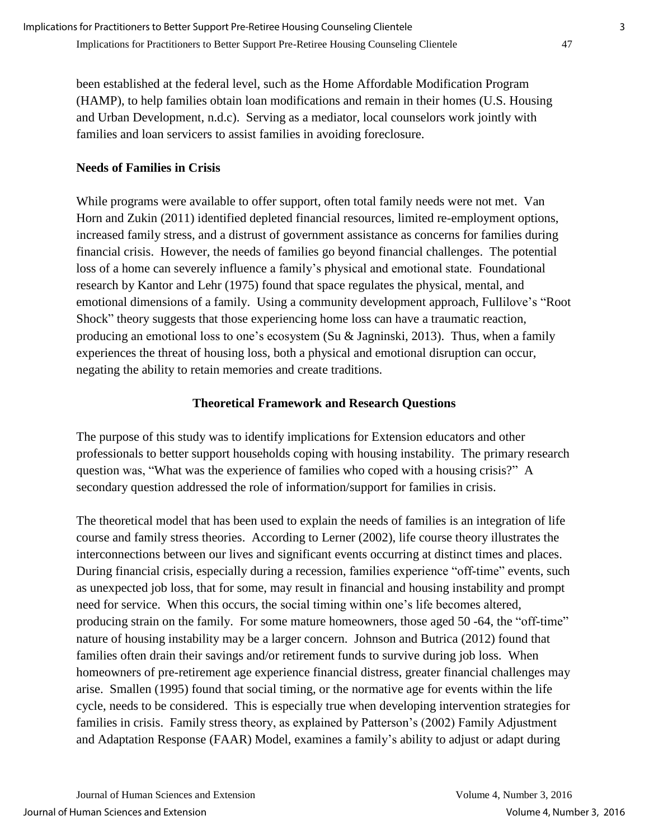been established at the federal level, such as the Home Affordable Modification Program (HAMP), to help families obtain loan modifications and remain in their homes (U.S. Housing and Urban Development, n.d.c). Serving as a mediator, local counselors work jointly with families and loan servicers to assist families in avoiding foreclosure.

## **Needs of Families in Crisis**

While programs were available to offer support, often total family needs were not met. Van Horn and Zukin (2011) identified depleted financial resources, limited re-employment options, increased family stress, and a distrust of government assistance as concerns for families during financial crisis. However, the needs of families go beyond financial challenges. The potential loss of a home can severely influence a family's physical and emotional state. Foundational research by Kantor and Lehr (1975) found that space regulates the physical, mental, and emotional dimensions of a family. Using a community development approach, Fullilove's "Root Shock" theory suggests that those experiencing home loss can have a traumatic reaction, producing an emotional loss to one's ecosystem (Su & Jagninski, 2013). Thus, when a family experiences the threat of housing loss, both a physical and emotional disruption can occur, negating the ability to retain memories and create traditions.

#### **Theoretical Framework and Research Questions**

The purpose of this study was to identify implications for Extension educators and other professionals to better support households coping with housing instability. The primary research question was, "What was the experience of families who coped with a housing crisis?" A secondary question addressed the role of information/support for families in crisis.

The theoretical model that has been used to explain the needs of families is an integration of life course and family stress theories. According to Lerner (2002), life course theory illustrates the interconnections between our lives and significant events occurring at distinct times and places. During financial crisis, especially during a recession, families experience "off-time" events, such as unexpected job loss, that for some, may result in financial and housing instability and prompt need for service. When this occurs, the social timing within one's life becomes altered, producing strain on the family. For some mature homeowners, those aged 50 -64, the "off-time" nature of housing instability may be a larger concern. Johnson and Butrica (2012) found that families often drain their savings and/or retirement funds to survive during job loss. When homeowners of pre-retirement age experience financial distress, greater financial challenges may arise. Smallen (1995) found that social timing, or the normative age for events within the life cycle, needs to be considered. This is especially true when developing intervention strategies for families in crisis. Family stress theory, as explained by Patterson's (2002) Family Adjustment and Adaptation Response (FAAR) Model, examines a family's ability to adjust or adapt during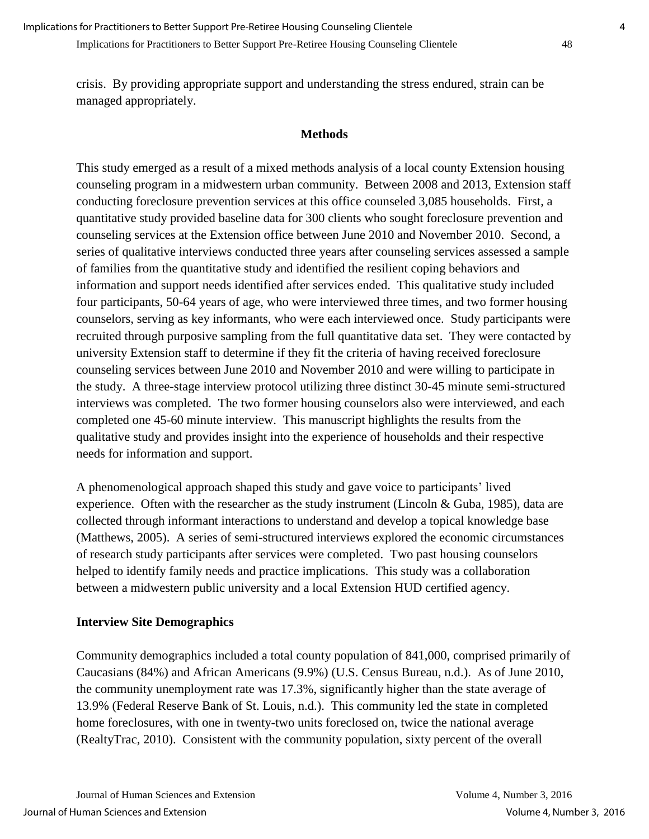crisis. By providing appropriate support and understanding the stress endured, strain can be managed appropriately.

#### **Methods**

This study emerged as a result of a mixed methods analysis of a local county Extension housing counseling program in a midwestern urban community. Between 2008 and 2013, Extension staff conducting foreclosure prevention services at this office counseled 3,085 households. First, a quantitative study provided baseline data for 300 clients who sought foreclosure prevention and counseling services at the Extension office between June 2010 and November 2010. Second, a series of qualitative interviews conducted three years after counseling services assessed a sample of families from the quantitative study and identified the resilient coping behaviors and information and support needs identified after services ended. This qualitative study included four participants, 50-64 years of age, who were interviewed three times, and two former housing counselors, serving as key informants, who were each interviewed once. Study participants were recruited through purposive sampling from the full quantitative data set. They were contacted by university Extension staff to determine if they fit the criteria of having received foreclosure counseling services between June 2010 and November 2010 and were willing to participate in the study. A three-stage interview protocol utilizing three distinct 30-45 minute semi-structured interviews was completed. The two former housing counselors also were interviewed, and each completed one 45-60 minute interview. This manuscript highlights the results from the qualitative study and provides insight into the experience of households and their respective needs for information and support.

A phenomenological approach shaped this study and gave voice to participants' lived experience. Often with the researcher as the study instrument (Lincoln & Guba, 1985), data are collected through informant interactions to understand and develop a topical knowledge base (Matthews, 2005). A series of semi-structured interviews explored the economic circumstances of research study participants after services were completed. Two past housing counselors helped to identify family needs and practice implications. This study was a collaboration between a midwestern public university and a local Extension HUD certified agency.

#### **Interview Site Demographics**

Community demographics included a total county population of 841,000, comprised primarily of Caucasians (84%) and African Americans (9.9%) (U.S. Census Bureau, n.d.). As of June 2010, the community unemployment rate was 17.3%, significantly higher than the state average of 13.9% (Federal Reserve Bank of St. Louis, n.d.). This community led the state in completed home foreclosures, with one in twenty-two units foreclosed on, twice the national average (RealtyTrac, 2010). Consistent with the community population, sixty percent of the overall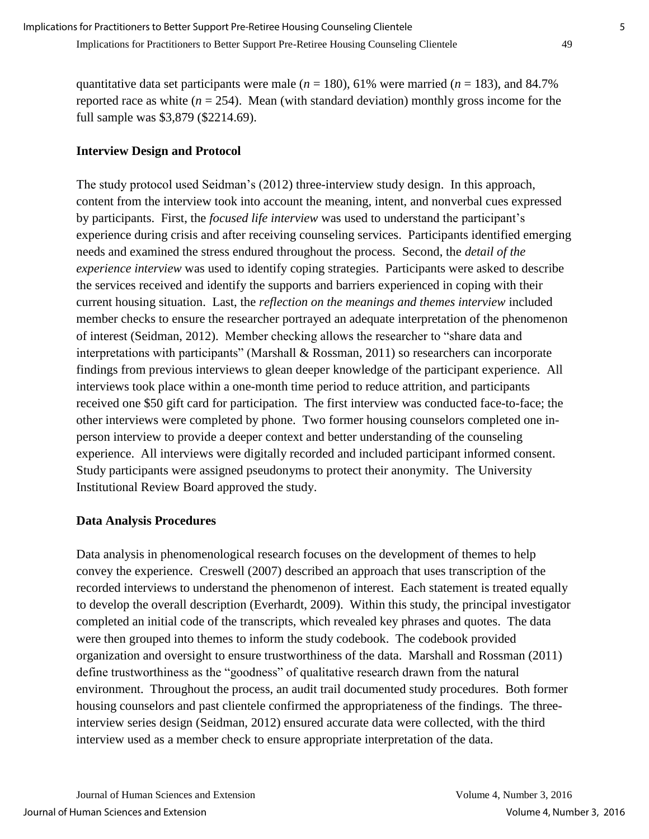quantitative data set participants were male (*n* = 180), 61% were married (*n* = 183), and 84.7% reported race as white  $(n = 254)$ . Mean (with standard deviation) monthly gross income for the full sample was \$3,879 (\$2214.69).

## **Interview Design and Protocol**

The study protocol used Seidman's (2012) three-interview study design. In this approach, content from the interview took into account the meaning, intent, and nonverbal cues expressed by participants. First, the *focused life interview* was used to understand the participant's experience during crisis and after receiving counseling services. Participants identified emerging needs and examined the stress endured throughout the process. Second, the *detail of the experience interview* was used to identify coping strategies. Participants were asked to describe the services received and identify the supports and barriers experienced in coping with their current housing situation. Last, the *reflection on the meanings and themes interview* included member checks to ensure the researcher portrayed an adequate interpretation of the phenomenon of interest (Seidman, 2012). Member checking allows the researcher to "share data and interpretations with participants" (Marshall & Rossman, 2011) so researchers can incorporate findings from previous interviews to glean deeper knowledge of the participant experience. All interviews took place within a one-month time period to reduce attrition, and participants received one \$50 gift card for participation. The first interview was conducted face-to-face; the other interviews were completed by phone. Two former housing counselors completed one inperson interview to provide a deeper context and better understanding of the counseling experience. All interviews were digitally recorded and included participant informed consent. Study participants were assigned pseudonyms to protect their anonymity. The University Institutional Review Board approved the study.

#### **Data Analysis Procedures**

Data analysis in phenomenological research focuses on the development of themes to help convey the experience. Creswell (2007) described an approach that uses transcription of the recorded interviews to understand the phenomenon of interest. Each statement is treated equally to develop the overall description (Everhardt, 2009). Within this study, the principal investigator completed an initial code of the transcripts, which revealed key phrases and quotes. The data were then grouped into themes to inform the study codebook. The codebook provided organization and oversight to ensure trustworthiness of the data. Marshall and Rossman (2011) define trustworthiness as the "goodness" of qualitative research drawn from the natural environment. Throughout the process, an audit trail documented study procedures. Both former housing counselors and past clientele confirmed the appropriateness of the findings. The threeinterview series design (Seidman, 2012) ensured accurate data were collected, with the third interview used as a member check to ensure appropriate interpretation of the data.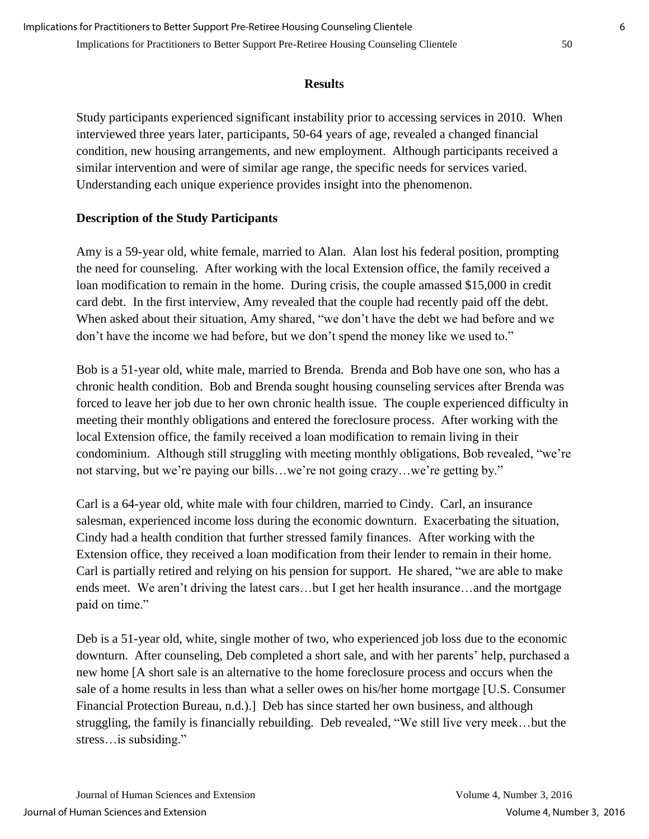#### **Results**

Study participants experienced significant instability prior to accessing services in 2010. When interviewed three years later, participants, 50-64 years of age, revealed a changed financial condition, new housing arrangements, and new employment. Although participants received a similar intervention and were of similar age range, the specific needs for services varied. Understanding each unique experience provides insight into the phenomenon.

## **Description of the Study Participants**

Amy is a 59-year old, white female, married to Alan. Alan lost his federal position, prompting the need for counseling. After working with the local Extension office, the family received a loan modification to remain in the home. During crisis, the couple amassed \$15,000 in credit card debt. In the first interview, Amy revealed that the couple had recently paid off the debt. When asked about their situation, Amy shared, "we don't have the debt we had before and we don't have the income we had before, but we don't spend the money like we used to."

Bob is a 51-year old, white male, married to Brenda. Brenda and Bob have one son, who has a chronic health condition. Bob and Brenda sought housing counseling services after Brenda was forced to leave her job due to her own chronic health issue. The couple experienced difficulty in meeting their monthly obligations and entered the foreclosure process. After working with the local Extension office, the family received a loan modification to remain living in their condominium. Although still struggling with meeting monthly obligations, Bob revealed, "we're not starving, but we're paying our bills…we're not going crazy…we're getting by."

Carl is a 64-year old, white male with four children, married to Cindy. Carl, an insurance salesman, experienced income loss during the economic downturn. Exacerbating the situation, Cindy had a health condition that further stressed family finances. After working with the Extension office, they received a loan modification from their lender to remain in their home. Carl is partially retired and relying on his pension for support. He shared, "we are able to make ends meet. We aren't driving the latest cars…but I get her health insurance…and the mortgage paid on time."

Deb is a 51-year old, white, single mother of two, who experienced job loss due to the economic downturn. After counseling, Deb completed a short sale, and with her parents' help, purchased a new home [A short sale is an alternative to the home foreclosure process and occurs when the sale of a home results in less than what a seller owes on his/her home mortgage [U.S. Consumer Financial Protection Bureau, n.d.).] Deb has since started her own business, and although struggling, the family is financially rebuilding. Deb revealed, "We still live very meek…but the stress…is subsiding."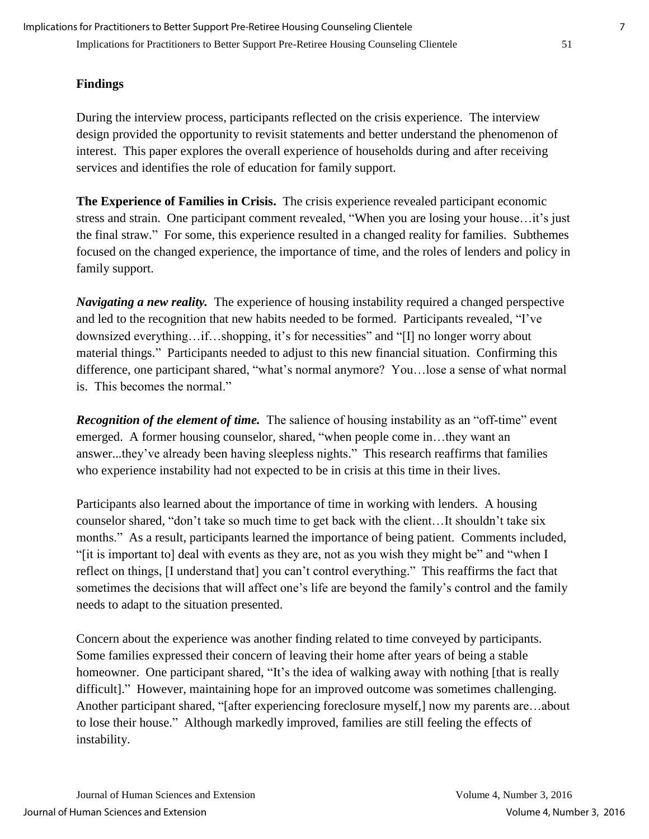Implications for Practitioners to Better Support Pre-Retiree Housing Counseling Clientele 51 Implications for Practitioners to Better Support Pre-Retiree Housing Counseling Clientele 7

#### **Findings**

During the interview process, participants reflected on the crisis experience. The interview design provided the opportunity to revisit statements and better understand the phenomenon of interest. This paper explores the overall experience of households during and after receiving services and identifies the role of education for family support.

**The Experience of Families in Crisis.** The crisis experience revealed participant economic stress and strain. One participant comment revealed, "When you are losing your house…it's just the final straw." For some, this experience resulted in a changed reality for families. Subthemes focused on the changed experience, the importance of time, and the roles of lenders and policy in family support.

*Navigating a new reality.* The experience of housing instability required a changed perspective and led to the recognition that new habits needed to be formed. Participants revealed, "I've downsized everything…if…shopping, it's for necessities" and "[I] no longer worry about material things." Participants needed to adjust to this new financial situation. Confirming this difference, one participant shared, "what's normal anymore? You…lose a sense of what normal is. This becomes the normal."

*Recognition of the element of time.* The salience of housing instability as an "off-time" event emerged. A former housing counselor, shared, "when people come in…they want an answer...they've already been having sleepless nights." This research reaffirms that families who experience instability had not expected to be in crisis at this time in their lives.

Participants also learned about the importance of time in working with lenders. A housing counselor shared, "don't take so much time to get back with the client…It shouldn't take six months." As a result, participants learned the importance of being patient. Comments included, "[it is important to] deal with events as they are, not as you wish they might be" and "when I reflect on things, [I understand that] you can't control everything." This reaffirms the fact that sometimes the decisions that will affect one's life are beyond the family's control and the family needs to adapt to the situation presented.

Concern about the experience was another finding related to time conveyed by participants. Some families expressed their concern of leaving their home after years of being a stable homeowner. One participant shared, "It's the idea of walking away with nothing [that is really difficult]." However, maintaining hope for an improved outcome was sometimes challenging. Another participant shared, "[after experiencing foreclosure myself,] now my parents are…about to lose their house." Although markedly improved, families are still feeling the effects of instability.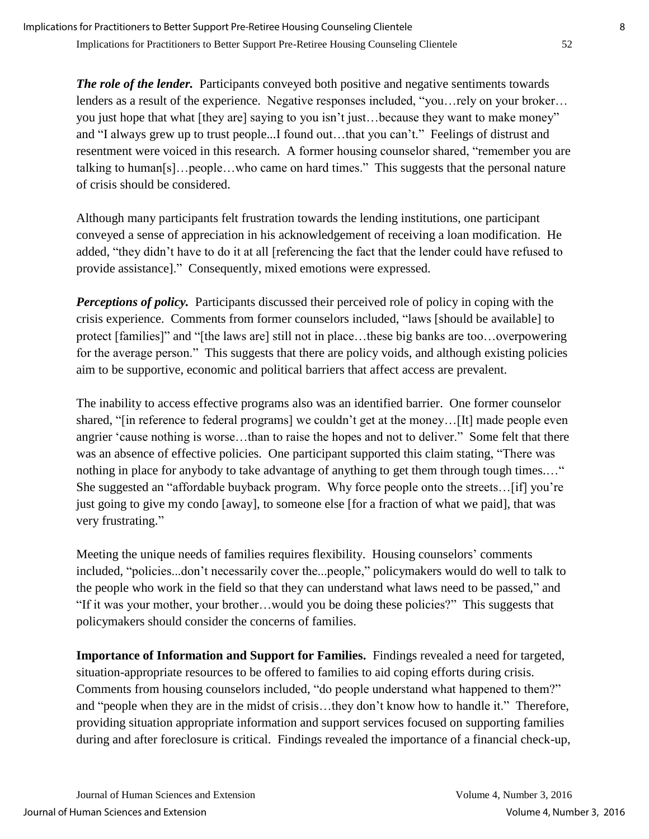*The role of the lender.* Participants conveyed both positive and negative sentiments towards lenders as a result of the experience. Negative responses included, "you…rely on your broker… you just hope that what [they are] saying to you isn't just…because they want to make money" and "I always grew up to trust people...I found out…that you can't." Feelings of distrust and resentment were voiced in this research. A former housing counselor shared, "remember you are talking to human[s]…people…who came on hard times." This suggests that the personal nature of crisis should be considered.

Although many participants felt frustration towards the lending institutions, one participant conveyed a sense of appreciation in his acknowledgement of receiving a loan modification. He added, "they didn't have to do it at all [referencing the fact that the lender could have refused to provide assistance]." Consequently, mixed emotions were expressed.

*Perceptions of policy.* Participants discussed their perceived role of policy in coping with the crisis experience. Comments from former counselors included, "laws [should be available] to protect [families]" and "[the laws are] still not in place…these big banks are too…overpowering for the average person." This suggests that there are policy voids, and although existing policies aim to be supportive, economic and political barriers that affect access are prevalent.

The inability to access effective programs also was an identified barrier. One former counselor shared, "[in reference to federal programs] we couldn't get at the money…[It] made people even angrier 'cause nothing is worse…than to raise the hopes and not to deliver." Some felt that there was an absence of effective policies. One participant supported this claim stating, "There was nothing in place for anybody to take advantage of anything to get them through tough times...." She suggested an "affordable buyback program. Why force people onto the streets…[if] you're just going to give my condo [away], to someone else [for a fraction of what we paid], that was very frustrating."

Meeting the unique needs of families requires flexibility. Housing counselors' comments included, "policies...don't necessarily cover the...people," policymakers would do well to talk to the people who work in the field so that they can understand what laws need to be passed," and "If it was your mother, your brother…would you be doing these policies?" This suggests that policymakers should consider the concerns of families.

**Importance of Information and Support for Families.** Findings revealed a need for targeted, situation-appropriate resources to be offered to families to aid coping efforts during crisis. Comments from housing counselors included, "do people understand what happened to them?" and "people when they are in the midst of crisis…they don't know how to handle it." Therefore, providing situation appropriate information and support services focused on supporting families during and after foreclosure is critical. Findings revealed the importance of a financial check-up,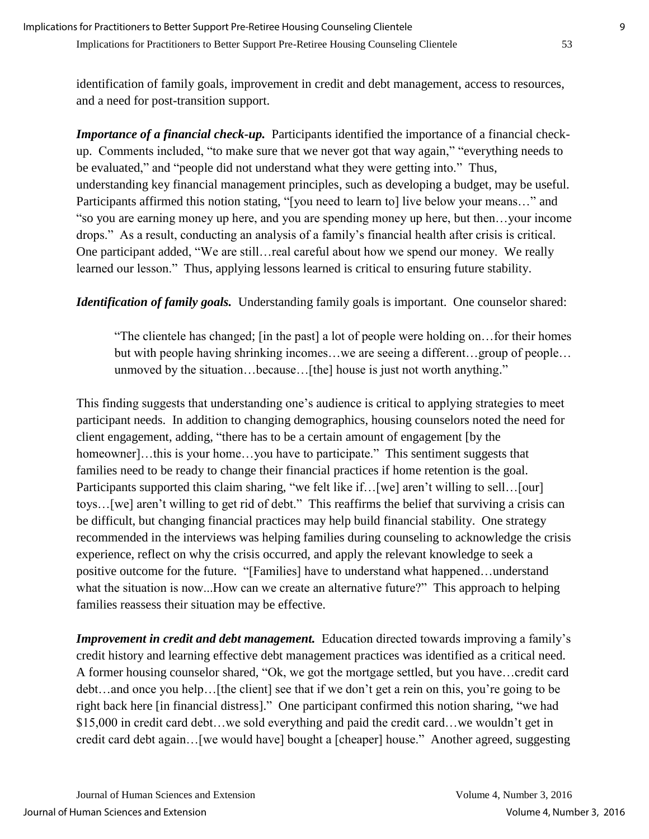identification of family goals, improvement in credit and debt management, access to resources, and a need for post-transition support.

*Importance of a financial check-up.* Participants identified the importance of a financial checkup. Comments included, "to make sure that we never got that way again," "everything needs to be evaluated," and "people did not understand what they were getting into." Thus, understanding key financial management principles, such as developing a budget, may be useful. Participants affirmed this notion stating, "[you need to learn to] live below your means…" and "so you are earning money up here, and you are spending money up here, but then…your income drops." As a result, conducting an analysis of a family's financial health after crisis is critical. One participant added, "We are still…real careful about how we spend our money. We really learned our lesson." Thus, applying lessons learned is critical to ensuring future stability.

*Identification of family goals.* Understanding family goals is important. One counselor shared:

"The clientele has changed; [in the past] a lot of people were holding on…for their homes but with people having shrinking incomes…we are seeing a different…group of people… unmoved by the situation…because…[the] house is just not worth anything."

This finding suggests that understanding one's audience is critical to applying strategies to meet participant needs. In addition to changing demographics, housing counselors noted the need for client engagement, adding, "there has to be a certain amount of engagement [by the homeowner]...this is your home...you have to participate." This sentiment suggests that families need to be ready to change their financial practices if home retention is the goal. Participants supported this claim sharing, "we felt like if... [we] aren't willing to sell... [our] toys…[we] aren't willing to get rid of debt." This reaffirms the belief that surviving a crisis can be difficult, but changing financial practices may help build financial stability. One strategy recommended in the interviews was helping families during counseling to acknowledge the crisis experience, reflect on why the crisis occurred, and apply the relevant knowledge to seek a positive outcome for the future. "[Families] have to understand what happened…understand what the situation is now...How can we create an alternative future?" This approach to helping families reassess their situation may be effective.

*Improvement in credit and debt management.* Education directed towards improving a family's credit history and learning effective debt management practices was identified as a critical need. A former housing counselor shared, "Ok, we got the mortgage settled, but you have…credit card debt…and once you help…[the client] see that if we don't get a rein on this, you're going to be right back here [in financial distress]." One participant confirmed this notion sharing, "we had \$15,000 in credit card debt…we sold everything and paid the credit card…we wouldn't get in credit card debt again…[we would have] bought a [cheaper] house." Another agreed, suggesting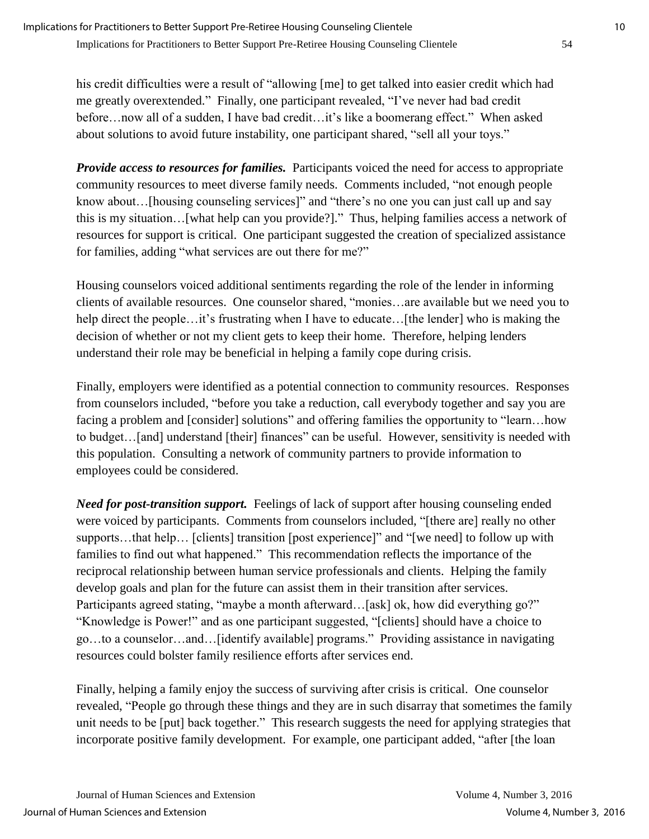his credit difficulties were a result of "allowing [me] to get talked into easier credit which had me greatly overextended." Finally, one participant revealed, "I've never had bad credit before…now all of a sudden, I have bad credit…it's like a boomerang effect." When asked about solutions to avoid future instability, one participant shared, "sell all your toys."

*Provide access to resources for families.* Participants voiced the need for access to appropriate community resources to meet diverse family needs. Comments included, "not enough people know about…[housing counseling services]" and "there's no one you can just call up and say this is my situation…[what help can you provide?]." Thus, helping families access a network of resources for support is critical. One participant suggested the creation of specialized assistance for families, adding "what services are out there for me?"

Housing counselors voiced additional sentiments regarding the role of the lender in informing clients of available resources. One counselor shared, "monies…are available but we need you to help direct the people…it's frustrating when I have to educate…[the lender] who is making the decision of whether or not my client gets to keep their home. Therefore, helping lenders understand their role may be beneficial in helping a family cope during crisis.

Finally, employers were identified as a potential connection to community resources. Responses from counselors included, "before you take a reduction, call everybody together and say you are facing a problem and [consider] solutions" and offering families the opportunity to "learn...how to budget…[and] understand [their] finances" can be useful. However, sensitivity is needed with this population. Consulting a network of community partners to provide information to employees could be considered.

*Need for post-transition support.* Feelings of lack of support after housing counseling ended were voiced by participants. Comments from counselors included, "[there are] really no other supports…that help… [clients] transition [post experience]" and "[we need] to follow up with families to find out what happened." This recommendation reflects the importance of the reciprocal relationship between human service professionals and clients. Helping the family develop goals and plan for the future can assist them in their transition after services. Participants agreed stating, "maybe a month afterward...[ask] ok, how did everything go?" "Knowledge is Power!" and as one participant suggested, "[clients] should have a choice to go…to a counselor…and…[identify available] programs." Providing assistance in navigating resources could bolster family resilience efforts after services end.

Finally, helping a family enjoy the success of surviving after crisis is critical. One counselor revealed, "People go through these things and they are in such disarray that sometimes the family unit needs to be [put] back together." This research suggests the need for applying strategies that incorporate positive family development. For example, one participant added, "after [the loan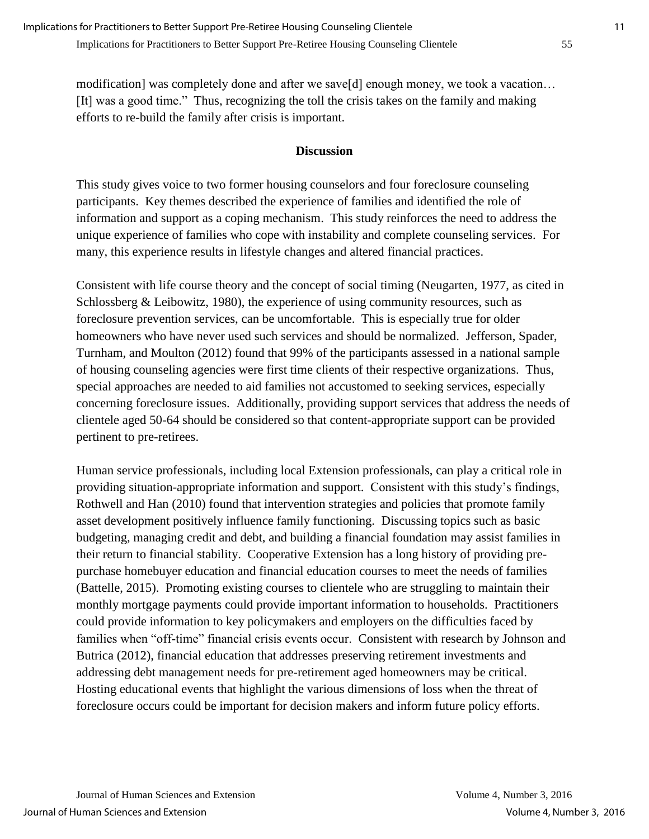modification] was completely done and after we save[d] enough money, we took a vacation… [It] was a good time." Thus, recognizing the toll the crisis takes on the family and making efforts to re-build the family after crisis is important.

## **Discussion**

This study gives voice to two former housing counselors and four foreclosure counseling participants. Key themes described the experience of families and identified the role of information and support as a coping mechanism. This study reinforces the need to address the unique experience of families who cope with instability and complete counseling services. For many, this experience results in lifestyle changes and altered financial practices.

Consistent with life course theory and the concept of social timing (Neugarten, 1977, as cited in Schlossberg & Leibowitz, 1980), the experience of using community resources, such as foreclosure prevention services, can be uncomfortable. This is especially true for older homeowners who have never used such services and should be normalized. Jefferson, Spader, Turnham, and Moulton (2012) found that 99% of the participants assessed in a national sample of housing counseling agencies were first time clients of their respective organizations. Thus, special approaches are needed to aid families not accustomed to seeking services, especially concerning foreclosure issues. Additionally, providing support services that address the needs of clientele aged 50-64 should be considered so that content-appropriate support can be provided pertinent to pre-retirees.

Human service professionals, including local Extension professionals, can play a critical role in providing situation-appropriate information and support. Consistent with this study's findings, Rothwell and Han (2010) found that intervention strategies and policies that promote family asset development positively influence family functioning. Discussing topics such as basic budgeting, managing credit and debt, and building a financial foundation may assist families in their return to financial stability. Cooperative Extension has a long history of providing prepurchase homebuyer education and financial education courses to meet the needs of families (Battelle, 2015). Promoting existing courses to clientele who are struggling to maintain their monthly mortgage payments could provide important information to households. Practitioners could provide information to key policymakers and employers on the difficulties faced by families when "off-time" financial crisis events occur. Consistent with research by Johnson and Butrica (2012), financial education that addresses preserving retirement investments and addressing debt management needs for pre-retirement aged homeowners may be critical. Hosting educational events that highlight the various dimensions of loss when the threat of foreclosure occurs could be important for decision makers and inform future policy efforts.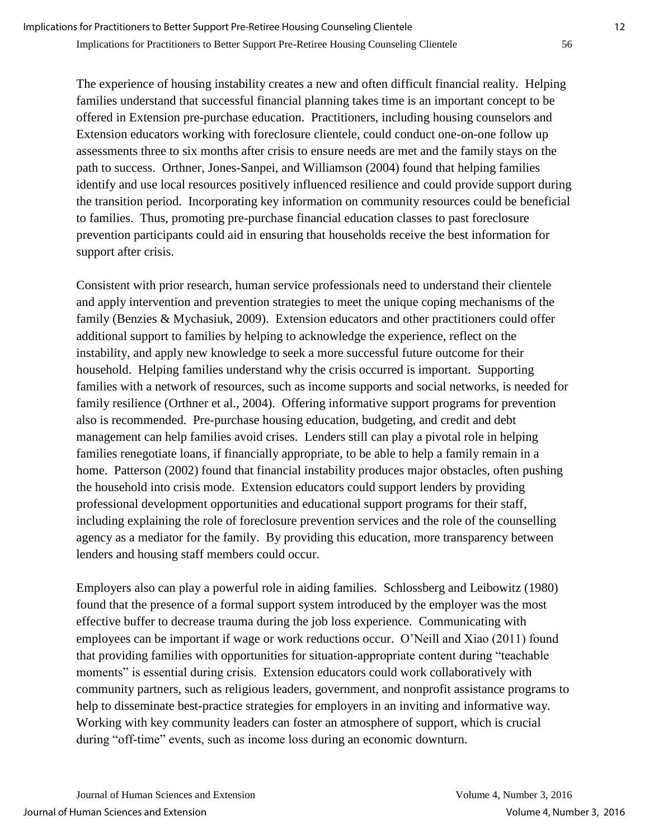The experience of housing instability creates a new and often difficult financial reality. Helping families understand that successful financial planning takes time is an important concept to be offered in Extension pre-purchase education. Practitioners, including housing counselors and Extension educators working with foreclosure clientele, could conduct one-on-one follow up assessments three to six months after crisis to ensure needs are met and the family stays on the path to success. Orthner, Jones-Sanpei, and Williamson (2004) found that helping families identify and use local resources positively influenced resilience and could provide support during the transition period. Incorporating key information on community resources could be beneficial to families. Thus, promoting pre-purchase financial education classes to past foreclosure prevention participants could aid in ensuring that households receive the best information for support after crisis.

Consistent with prior research, human service professionals need to understand their clientele and apply intervention and prevention strategies to meet the unique coping mechanisms of the family (Benzies & Mychasiuk, 2009). Extension educators and other practitioners could offer additional support to families by helping to acknowledge the experience, reflect on the instability, and apply new knowledge to seek a more successful future outcome for their household. Helping families understand why the crisis occurred is important. Supporting families with a network of resources, such as income supports and social networks, is needed for family resilience (Orthner et al., 2004). Offering informative support programs for prevention also is recommended. Pre-purchase housing education, budgeting, and credit and debt management can help families avoid crises. Lenders still can play a pivotal role in helping families renegotiate loans, if financially appropriate, to be able to help a family remain in a home. Patterson (2002) found that financial instability produces major obstacles, often pushing the household into crisis mode. Extension educators could support lenders by providing professional development opportunities and educational support programs for their staff, including explaining the role of foreclosure prevention services and the role of the counselling agency as a mediator for the family. By providing this education, more transparency between lenders and housing staff members could occur.

Employers also can play a powerful role in aiding families. Schlossberg and Leibowitz (1980) found that the presence of a formal support system introduced by the employer was the most effective buffer to decrease trauma during the job loss experience. Communicating with employees can be important if wage or work reductions occur. O'Neill and Xiao (2011) found that providing families with opportunities for situation-appropriate content during "teachable moments" is essential during crisis. Extension educators could work collaboratively with community partners, such as religious leaders, government, and nonprofit assistance programs to help to disseminate best-practice strategies for employers in an inviting and informative way. Working with key community leaders can foster an atmosphere of support, which is crucial during "off-time" events, such as income loss during an economic downturn.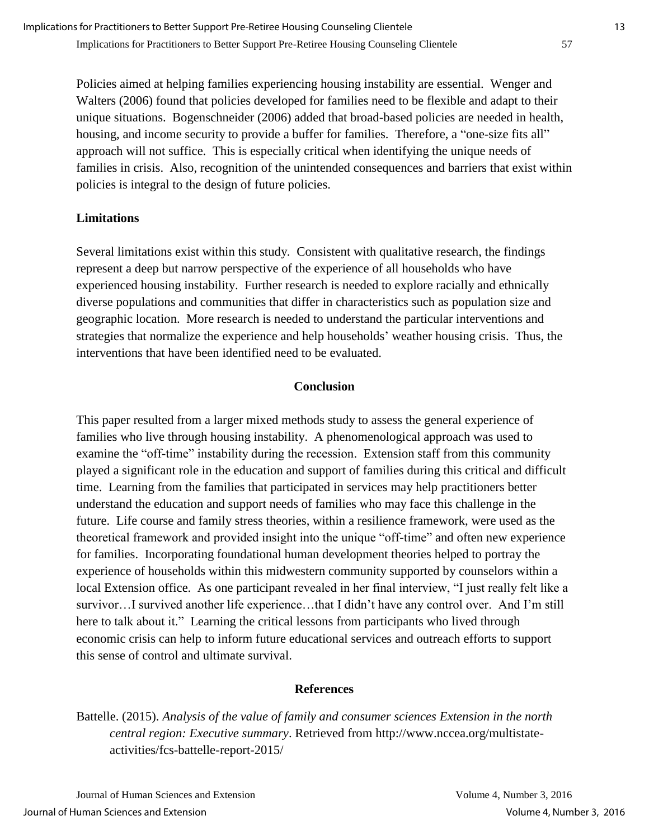Policies aimed at helping families experiencing housing instability are essential. Wenger and Walters (2006) found that policies developed for families need to be flexible and adapt to their unique situations. Bogenschneider (2006) added that broad-based policies are needed in health, housing, and income security to provide a buffer for families. Therefore, a "one-size fits all" approach will not suffice. This is especially critical when identifying the unique needs of families in crisis. Also, recognition of the unintended consequences and barriers that exist within policies is integral to the design of future policies.

## **Limitations**

Several limitations exist within this study. Consistent with qualitative research, the findings represent a deep but narrow perspective of the experience of all households who have experienced housing instability. Further research is needed to explore racially and ethnically diverse populations and communities that differ in characteristics such as population size and geographic location. More research is needed to understand the particular interventions and strategies that normalize the experience and help households' weather housing crisis. Thus, the interventions that have been identified need to be evaluated.

## **Conclusion**

This paper resulted from a larger mixed methods study to assess the general experience of families who live through housing instability. A phenomenological approach was used to examine the "off-time" instability during the recession. Extension staff from this community played a significant role in the education and support of families during this critical and difficult time. Learning from the families that participated in services may help practitioners better understand the education and support needs of families who may face this challenge in the future. Life course and family stress theories, within a resilience framework, were used as the theoretical framework and provided insight into the unique "off-time" and often new experience for families. Incorporating foundational human development theories helped to portray the experience of households within this midwestern community supported by counselors within a local Extension office. As one participant revealed in her final interview, "I just really felt like a survivor…I survived another life experience…that I didn't have any control over. And I'm still here to talk about it." Learning the critical lessons from participants who lived through economic crisis can help to inform future educational services and outreach efforts to support this sense of control and ultimate survival.

## **References**

Battelle. (2015). *Analysis of the value of family and consumer sciences Extension in the north central region: Executive summary*. Retrieved from http://www.nccea.org/multistateactivities/fcs-battelle-report-2015/

Journal of Human Sciences and Extension Volume 4, Number 3, 2016 Journal of Human Sciences and Extension Volume 4, Number 3, 2016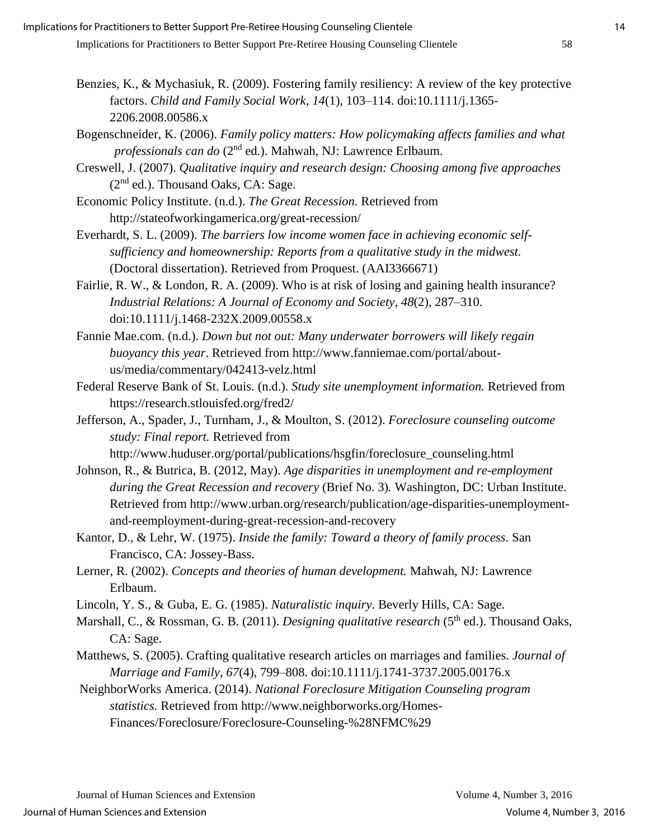- Benzies, K., & Mychasiuk, R. (2009). Fostering family resiliency: A review of the key protective factors. *Child and Family Social Work, 14*(1), 103–114. doi:10.1111/j.1365- 2206.2008.00586.x
- Bogenschneider, K. (2006). *Family policy matters: How policymaking affects families and what professionals can do* (2nd ed.). Mahwah, NJ: Lawrence Erlbaum.
- Creswell, J. (2007). *Qualitative inquiry and research design: Choosing among five approaches*  $(2<sup>nd</sup>$  ed.). Thousand Oaks, CA: Sage.
- Economic Policy Institute. (n.d.). *The Great Recession.* Retrieved from http://stateofworkingamerica.org/great-recession/
- Everhardt, S. L. (2009). *The barriers low income women face in achieving economic selfsufficiency and homeownership: Reports from a qualitative study in the midwest.* (Doctoral dissertation). Retrieved from Proquest. (AAI3366671)
- Fairlie, R. W., & London, R. A. (2009). Who is at risk of losing and gaining health insurance? *Industrial Relations: A Journal of Economy and Society*, *48*(2), 287–310. doi:10.1111/j.1468-232X.2009.00558.x
- Fannie Mae.com. (n.d.). *Down but not out: Many underwater borrowers will likely regain buoyancy this year*. Retrieved from http://www.fanniemae.com/portal/aboutus/media/commentary/042413-velz.html
- Federal Reserve Bank of St. Louis. (n.d.). *Study site unemployment information.* Retrieved from https://research.stlouisfed.org/fred2/
- Jefferson, A., Spader, J., Turnham, J., & Moulton, S. (2012). *Foreclosure counseling outcome study: Final report.* Retrieved from
	- http://www.huduser.org/portal/publications/hsgfin/foreclosure\_counseling.html
- Johnson, R., & Butrica, B. (2012, May). *Age disparities in unemployment and re-employment during the Great Recession and recovery* (Brief No. 3)*.* Washington, DC: Urban Institute. Retrieved from http://www.urban.org/research/publication/age-disparities-unemploymentand-reemployment-during-great-recession-and-recovery
- Kantor, D., & Lehr, W. (1975). *Inside the family: Toward a theory of family process.* San Francisco, CA: Jossey-Bass.
- Lerner, R. (2002). *Concepts and theories of human development.* Mahwah, NJ: Lawrence Erlbaum.
- Lincoln, Y. S., & Guba, E. G. (1985). *Naturalistic inquiry*. Beverly Hills, CA: Sage.
- Marshall, C., & Rossman, G. B. (2011). *Designing qualitative research* (5<sup>th</sup> ed.). Thousand Oaks, CA: Sage.
- Matthews, S. (2005). Crafting qualitative research articles on marriages and families. *Journal of Marriage and Family, 67*(4), 799–808. doi:10.1111/j.1741-3737.2005.00176.x
- NeighborWorks America. (2014). *National Foreclosure Mitigation Counseling program statistics.* Retrieved from http://www.neighborworks.org/Homes-Finances/Foreclosure/Foreclosure-Counseling-%28NFMC%29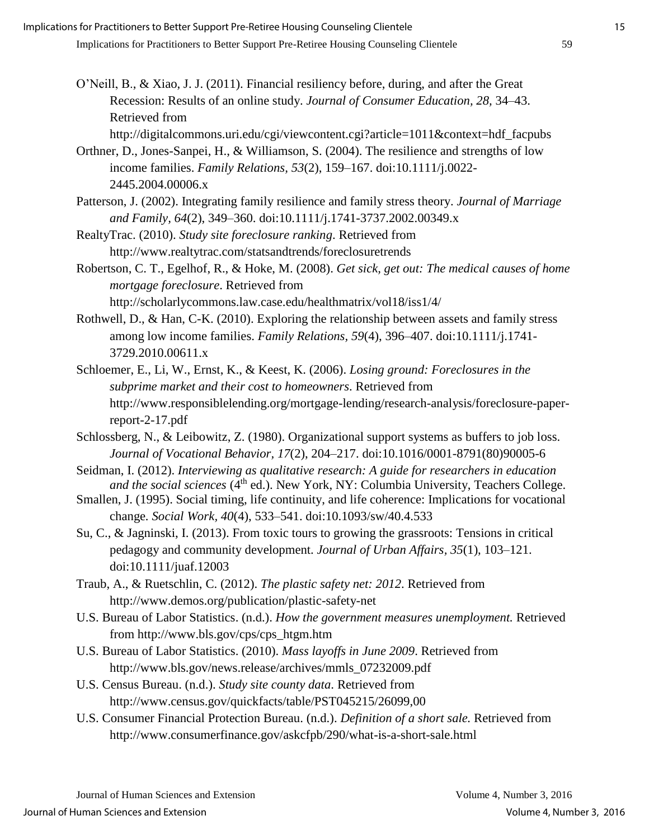- O'Neill, B., & Xiao, J. J. (2011). Financial resiliency before, during, and after the Great Recession: Results of an online study. *Journal of Consumer Education, 28,* 34–43. Retrieved from http://digitalcommons.uri.edu/cgi/viewcontent.cgi?article=1011&context=hdf\_facpubs
- Orthner, D., Jones-Sanpei, H., & Williamson, S. (2004). The resilience and strengths of low income families. *Family Relations, 53*(2), 159–167. doi:10.1111/j.0022- 2445.2004.00006.x
- Patterson, J. (2002). Integrating family resilience and family stress theory. *Journal of Marriage and Family, 64*(2), 349–360. doi:10.1111/j.1741-3737.2002.00349.x
- RealtyTrac. (2010). *Study site foreclosure ranking*. Retrieved from http://www.realtytrac.com/statsandtrends/foreclosuretrends
- Robertson, C. T., Egelhof, R., & Hoke, M. (2008). *Get sick, get out: The medical causes of home mortgage foreclosure*. Retrieved from http://scholarlycommons.law.case.edu/healthmatrix/vol18/iss1/4/
- Rothwell, D., & Han, C-K. (2010). Exploring the relationship between assets and family stress among low income families. *Family Relations, 59*(4), 396–407. doi:10.1111/j.1741- 3729.2010.00611.x
- Schloemer, E., Li, W., Ernst, K., & Keest, K. (2006). *Losing ground: Foreclosures in the subprime market and their cost to homeowners*. Retrieved from http://www.responsiblelending.org/mortgage-lending/research-analysis/foreclosure-paperreport-2-17.pdf
- Schlossberg, N., & Leibowitz, Z. (1980). Organizational support systems as buffers to job loss. *Journal of Vocational Behavior, 17*(2), 204–217. doi:10.1016/0001-8791(80)90005-6
- Seidman, I. (2012). *Interviewing as qualitative research: A guide for researchers in education and the social sciences* (4<sup>th</sup> ed.). New York, NY: Columbia University, Teachers College.
- Smallen, J. (1995). Social timing, life continuity, and life coherence: Implications for vocational change*. Social Work, 40*(4), 533–541. doi:10.1093/sw/40.4.533
- Su, C., & Jagninski, I. (2013). From toxic tours to growing the grassroots: Tensions in critical pedagogy and community development. *Journal of Urban Affairs, 35*(1), 103–121. doi:10.1111/juaf.12003
- Traub, A., & Ruetschlin, C. (2012). *The plastic safety net: 2012*. Retrieved from http://www.demos.org/publication/plastic-safety-net
- U.S. Bureau of Labor Statistics. (n.d.). *How the government measures unemployment.* Retrieved from http://www.bls.gov/cps/cps\_htgm.htm
- U.S. Bureau of Labor Statistics. (2010). *Mass layoffs in June 2009*. Retrieved from http://www.bls.gov/news.release/archives/mmls\_07232009.pdf
- U.S. Census Bureau. (n.d.). *Study site county data*. Retrieved from http://www.census.gov/quickfacts/table/PST045215/26099,00
- U.S. Consumer Financial Protection Bureau. (n.d.). *Definition of a short sale.* Retrieved from http://www.consumerfinance.gov/askcfpb/290/what-is-a-short-sale.html